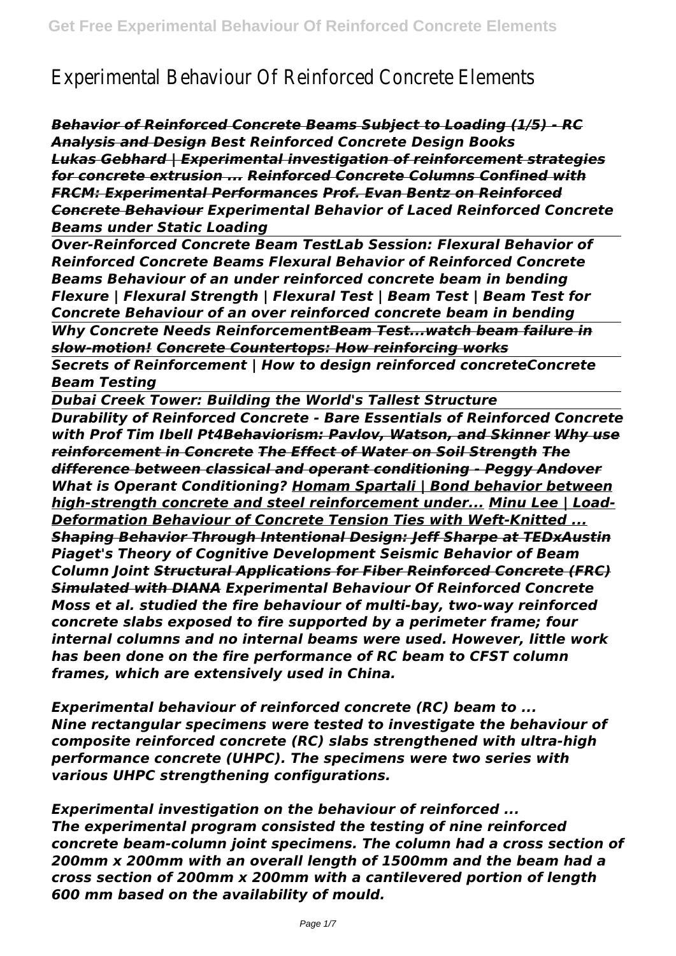## Experimental Behaviour Of Reinforced Concrete Elements

*Behavior of Reinforced Concrete Beams Subject to Loading (1/5) - RC Analysis and Design Best Reinforced Concrete Design Books Lukas Gebhard | Experimental investigation of reinforcement strategies for concrete extrusion ... Reinforced Concrete Columns Confined with FRCM: Experimental Performances Prof. Evan Bentz on Reinforced Concrete Behaviour Experimental Behavior of Laced Reinforced Concrete Beams under Static Loading*

*Over-Reinforced Concrete Beam TestLab Session: Flexural Behavior of Reinforced Concrete Beams Flexural Behavior of Reinforced Concrete Beams Behaviour of an under reinforced concrete beam in bending Flexure | Flexural Strength | Flexural Test | Beam Test | Beam Test for Concrete Behaviour of an over reinforced concrete beam in bending Why Concrete Needs ReinforcementBeam Test...watch beam failure in slow-motion! Concrete Countertops: How reinforcing works*

*Secrets of Reinforcement | How to design reinforced concreteConcrete Beam Testing*

*Dubai Creek Tower: Building the World's Tallest Structure Durability of Reinforced Concrete - Bare Essentials of Reinforced Concrete with Prof Tim Ibell Pt4Behaviorism: Pavlov, Watson, and Skinner Why use reinforcement in Concrete The Effect of Water on Soil Strength The difference between classical and operant conditioning - Peggy Andover What is Operant Conditioning? Homam Spartali | Bond behavior between high-strength concrete and steel reinforcement under... Minu Lee | Load-Deformation Behaviour of Concrete Tension Ties with Weft-Knitted ... Shaping Behavior Through Intentional Design: Jeff Sharpe at TEDxAustin Piaget's Theory of Cognitive Development Seismic Behavior of Beam Column Joint Structural Applications for Fiber Reinforced Concrete (FRC) Simulated with DIANA Experimental Behaviour Of Reinforced Concrete Moss et al. studied the fire behaviour of multi-bay, two-way reinforced concrete slabs exposed to fire supported by a perimeter frame; four internal columns and no internal beams were used. However, little work has been done on the fire performance of RC beam to CFST column frames, which are extensively used in China.*

*Experimental behaviour of reinforced concrete (RC) beam to ... Nine rectangular specimens were tested to investigate the behaviour of composite reinforced concrete (RC) slabs strengthened with ultra-high performance concrete (UHPC). The specimens were two series with various UHPC strengthening configurations.*

*Experimental investigation on the behaviour of reinforced ... The experimental program consisted the testing of nine reinforced concrete beam-column joint specimens. The column had a cross section of 200mm x 200mm with an overall length of 1500mm and the beam had a cross section of 200mm x 200mm with a cantilevered portion of length 600 mm based on the availability of mould.*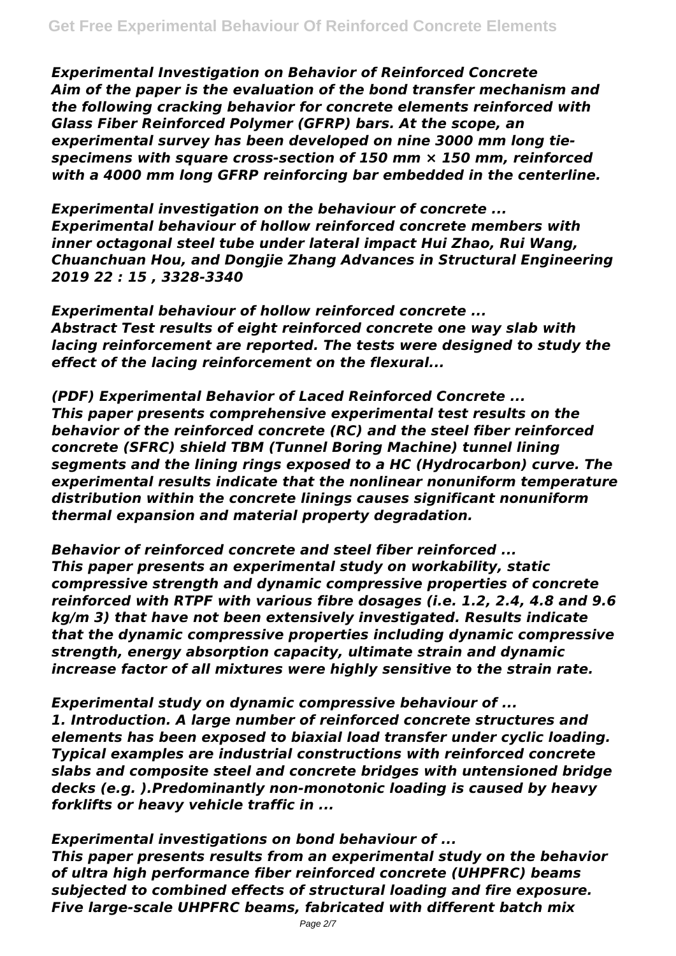*Experimental Investigation on Behavior of Reinforced Concrete Aim of the paper is the evaluation of the bond transfer mechanism and the following cracking behavior for concrete elements reinforced with Glass Fiber Reinforced Polymer (GFRP) bars. At the scope, an experimental survey has been developed on nine 3000 mm long tiespecimens with square cross-section of 150 mm × 150 mm, reinforced with a 4000 mm long GFRP reinforcing bar embedded in the centerline.*

*Experimental investigation on the behaviour of concrete ... Experimental behaviour of hollow reinforced concrete members with inner octagonal steel tube under lateral impact Hui Zhao, Rui Wang, Chuanchuan Hou, and Dongjie Zhang Advances in Structural Engineering 2019 22 : 15 , 3328-3340*

*Experimental behaviour of hollow reinforced concrete ... Abstract Test results of eight reinforced concrete one way slab with lacing reinforcement are reported. The tests were designed to study the effect of the lacing reinforcement on the flexural...*

*(PDF) Experimental Behavior of Laced Reinforced Concrete ... This paper presents comprehensive experimental test results on the behavior of the reinforced concrete (RC) and the steel fiber reinforced concrete (SFRC) shield TBM (Tunnel Boring Machine) tunnel lining segments and the lining rings exposed to a HC (Hydrocarbon) curve. The experimental results indicate that the nonlinear nonuniform temperature distribution within the concrete linings causes significant nonuniform thermal expansion and material property degradation.*

*Behavior of reinforced concrete and steel fiber reinforced ... This paper presents an experimental study on workability, static compressive strength and dynamic compressive properties of concrete reinforced with RTPF with various fibre dosages (i.e. 1.2, 2.4, 4.8 and 9.6 kg/m 3) that have not been extensively investigated. Results indicate that the dynamic compressive properties including dynamic compressive strength, energy absorption capacity, ultimate strain and dynamic increase factor of all mixtures were highly sensitive to the strain rate.*

*Experimental study on dynamic compressive behaviour of ... 1. Introduction. A large number of reinforced concrete structures and elements has been exposed to biaxial load transfer under cyclic loading. Typical examples are industrial constructions with reinforced concrete slabs and composite steel and concrete bridges with untensioned bridge decks (e.g. ).Predominantly non-monotonic loading is caused by heavy forklifts or heavy vehicle traffic in ...*

*Experimental investigations on bond behaviour of ... This paper presents results from an experimental study on the behavior of ultra high performance fiber reinforced concrete (UHPFRC) beams subjected to combined effects of structural loading and fire exposure. Five large-scale UHPFRC beams, fabricated with different batch mix*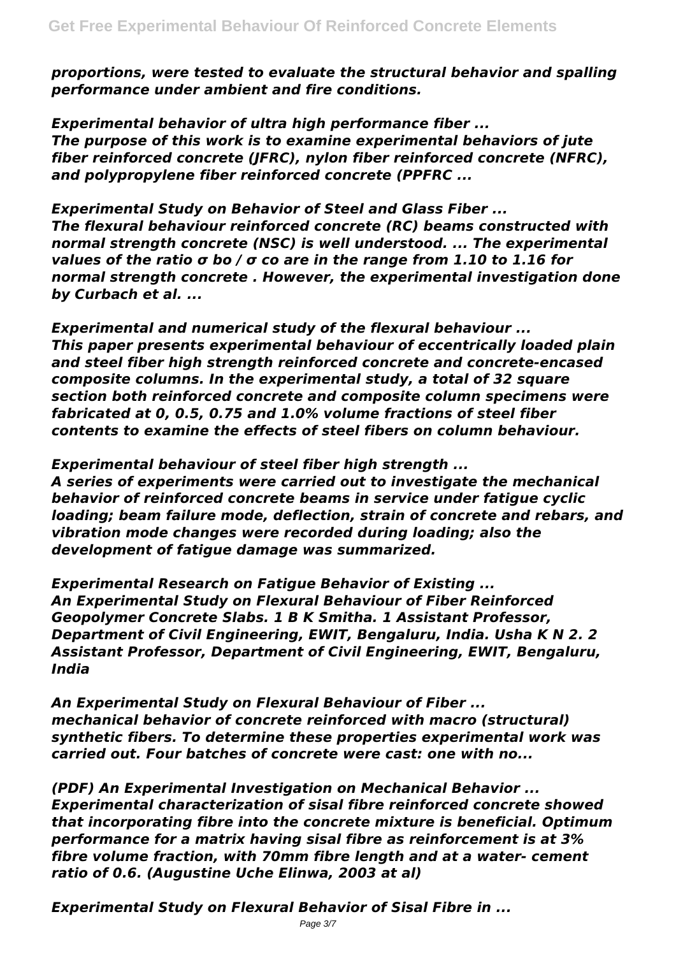*proportions, were tested to evaluate the structural behavior and spalling performance under ambient and fire conditions.*

*Experimental behavior of ultra high performance fiber ... The purpose of this work is to examine experimental behaviors of jute fiber reinforced concrete (JFRC), nylon fiber reinforced concrete (NFRC), and polypropylene fiber reinforced concrete (PPFRC ...*

*Experimental Study on Behavior of Steel and Glass Fiber ... The flexural behaviour reinforced concrete (RC) beams constructed with normal strength concrete (NSC) is well understood. ... The experimental values of the ratio σ bo / σ co are in the range from 1.10 to 1.16 for normal strength concrete . However, the experimental investigation done by Curbach et al. ...*

*Experimental and numerical study of the flexural behaviour ... This paper presents experimental behaviour of eccentrically loaded plain and steel fiber high strength reinforced concrete and concrete-encased composite columns. In the experimental study, a total of 32 square section both reinforced concrete and composite column specimens were fabricated at 0, 0.5, 0.75 and 1.0% volume fractions of steel fiber contents to examine the effects of steel fibers on column behaviour.*

*Experimental behaviour of steel fiber high strength ... A series of experiments were carried out to investigate the mechanical behavior of reinforced concrete beams in service under fatigue cyclic loading; beam failure mode, deflection, strain of concrete and rebars, and vibration mode changes were recorded during loading; also the development of fatigue damage was summarized.*

*Experimental Research on Fatigue Behavior of Existing ... An Experimental Study on Flexural Behaviour of Fiber Reinforced Geopolymer Concrete Slabs. 1 B K Smitha. 1 Assistant Professor, Department of Civil Engineering, EWIT, Bengaluru, India. Usha K N 2. 2 Assistant Professor, Department of Civil Engineering, EWIT, Bengaluru, India*

*An Experimental Study on Flexural Behaviour of Fiber ... mechanical behavior of concrete reinforced with macro (structural) synthetic fibers. To determine these properties experimental work was carried out. Four batches of concrete were cast: one with no...*

*(PDF) An Experimental Investigation on Mechanical Behavior ... Experimental characterization of sisal fibre reinforced concrete showed that incorporating fibre into the concrete mixture is beneficial. Optimum performance for a matrix having sisal fibre as reinforcement is at 3% fibre volume fraction, with 70mm fibre length and at a water- cement ratio of 0.6. (Augustine Uche Elinwa, 2003 at al)*

*Experimental Study on Flexural Behavior of Sisal Fibre in ...*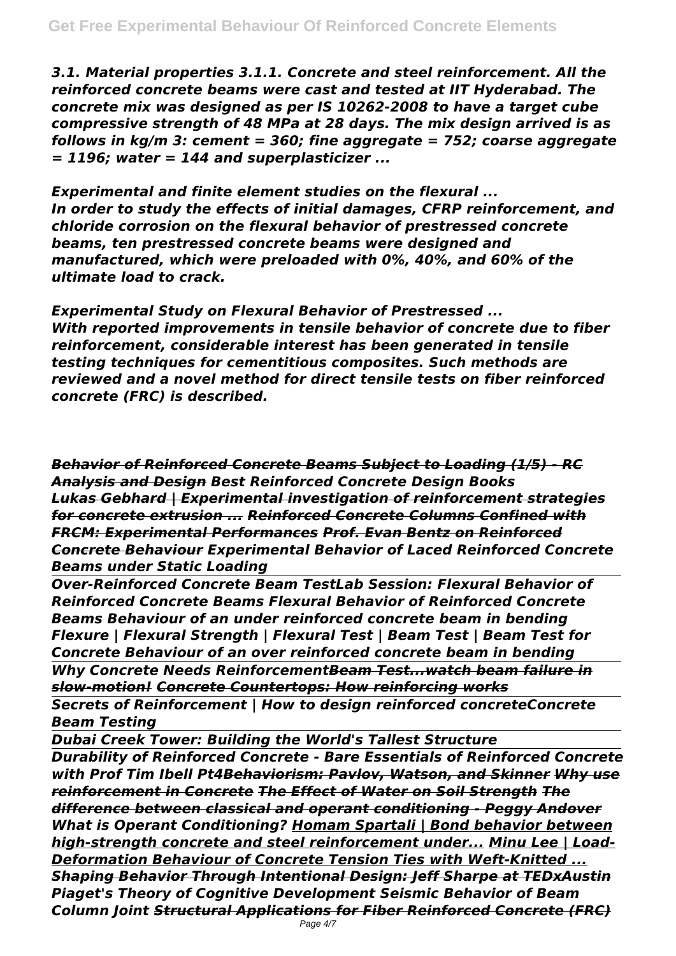*3.1. Material properties 3.1.1. Concrete and steel reinforcement. All the reinforced concrete beams were cast and tested at IIT Hyderabad. The concrete mix was designed as per IS 10262-2008 to have a target cube compressive strength of 48 MPa at 28 days. The mix design arrived is as follows in kg/m 3: cement = 360; fine aggregate = 752; coarse aggregate = 1196; water = 144 and superplasticizer ...*

*Experimental and finite element studies on the flexural ... In order to study the effects of initial damages, CFRP reinforcement, and chloride corrosion on the flexural behavior of prestressed concrete beams, ten prestressed concrete beams were designed and manufactured, which were preloaded with 0%, 40%, and 60% of the ultimate load to crack.*

*Experimental Study on Flexural Behavior of Prestressed ... With reported improvements in tensile behavior of concrete due to fiber reinforcement, considerable interest has been generated in tensile testing techniques for cementitious composites. Such methods are reviewed and a novel method for direct tensile tests on fiber reinforced concrete (FRC) is described.*

*Behavior of Reinforced Concrete Beams Subject to Loading (1/5) - RC Analysis and Design Best Reinforced Concrete Design Books Lukas Gebhard | Experimental investigation of reinforcement strategies for concrete extrusion ... Reinforced Concrete Columns Confined with FRCM: Experimental Performances Prof. Evan Bentz on Reinforced Concrete Behaviour Experimental Behavior of Laced Reinforced Concrete Beams under Static Loading*

*Over-Reinforced Concrete Beam TestLab Session: Flexural Behavior of Reinforced Concrete Beams Flexural Behavior of Reinforced Concrete Beams Behaviour of an under reinforced concrete beam in bending Flexure | Flexural Strength | Flexural Test | Beam Test | Beam Test for Concrete Behaviour of an over reinforced concrete beam in bending Why Concrete Needs ReinforcementBeam Test...watch beam failure in*

*slow-motion! Concrete Countertops: How reinforcing works*

*Secrets of Reinforcement | How to design reinforced concreteConcrete Beam Testing*

*Dubai Creek Tower: Building the World's Tallest Structure*

*Durability of Reinforced Concrete - Bare Essentials of Reinforced Concrete with Prof Tim Ibell Pt4Behaviorism: Pavlov, Watson, and Skinner Why use reinforcement in Concrete The Effect of Water on Soil Strength The difference between classical and operant conditioning - Peggy Andover What is Operant Conditioning? Homam Spartali | Bond behavior between high-strength concrete and steel reinforcement under... Minu Lee | Load-Deformation Behaviour of Concrete Tension Ties with Weft-Knitted ... Shaping Behavior Through Intentional Design: Jeff Sharpe at TEDxAustin Piaget's Theory of Cognitive Development Seismic Behavior of Beam Column Joint Structural Applications for Fiber Reinforced Concrete (FRC)*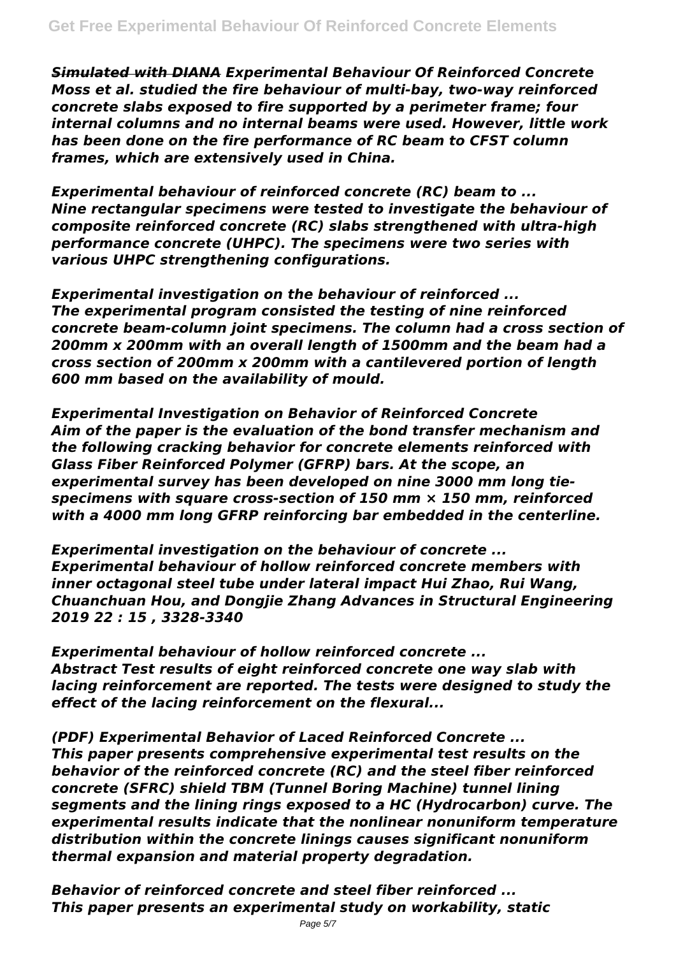*Simulated with DIANA Experimental Behaviour Of Reinforced Concrete Moss et al. studied the fire behaviour of multi-bay, two-way reinforced concrete slabs exposed to fire supported by a perimeter frame; four internal columns and no internal beams were used. However, little work has been done on the fire performance of RC beam to CFST column frames, which are extensively used in China.*

*Experimental behaviour of reinforced concrete (RC) beam to ... Nine rectangular specimens were tested to investigate the behaviour of composite reinforced concrete (RC) slabs strengthened with ultra-high performance concrete (UHPC). The specimens were two series with various UHPC strengthening configurations.*

*Experimental investigation on the behaviour of reinforced ... The experimental program consisted the testing of nine reinforced concrete beam-column joint specimens. The column had a cross section of 200mm x 200mm with an overall length of 1500mm and the beam had a cross section of 200mm x 200mm with a cantilevered portion of length 600 mm based on the availability of mould.*

*Experimental Investigation on Behavior of Reinforced Concrete Aim of the paper is the evaluation of the bond transfer mechanism and the following cracking behavior for concrete elements reinforced with Glass Fiber Reinforced Polymer (GFRP) bars. At the scope, an experimental survey has been developed on nine 3000 mm long tiespecimens with square cross-section of 150 mm × 150 mm, reinforced with a 4000 mm long GFRP reinforcing bar embedded in the centerline.*

*Experimental investigation on the behaviour of concrete ... Experimental behaviour of hollow reinforced concrete members with inner octagonal steel tube under lateral impact Hui Zhao, Rui Wang, Chuanchuan Hou, and Dongjie Zhang Advances in Structural Engineering 2019 22 : 15 , 3328-3340*

*Experimental behaviour of hollow reinforced concrete ... Abstract Test results of eight reinforced concrete one way slab with lacing reinforcement are reported. The tests were designed to study the effect of the lacing reinforcement on the flexural...*

*(PDF) Experimental Behavior of Laced Reinforced Concrete ... This paper presents comprehensive experimental test results on the behavior of the reinforced concrete (RC) and the steel fiber reinforced concrete (SFRC) shield TBM (Tunnel Boring Machine) tunnel lining segments and the lining rings exposed to a HC (Hydrocarbon) curve. The experimental results indicate that the nonlinear nonuniform temperature distribution within the concrete linings causes significant nonuniform thermal expansion and material property degradation.*

*Behavior of reinforced concrete and steel fiber reinforced ... This paper presents an experimental study on workability, static*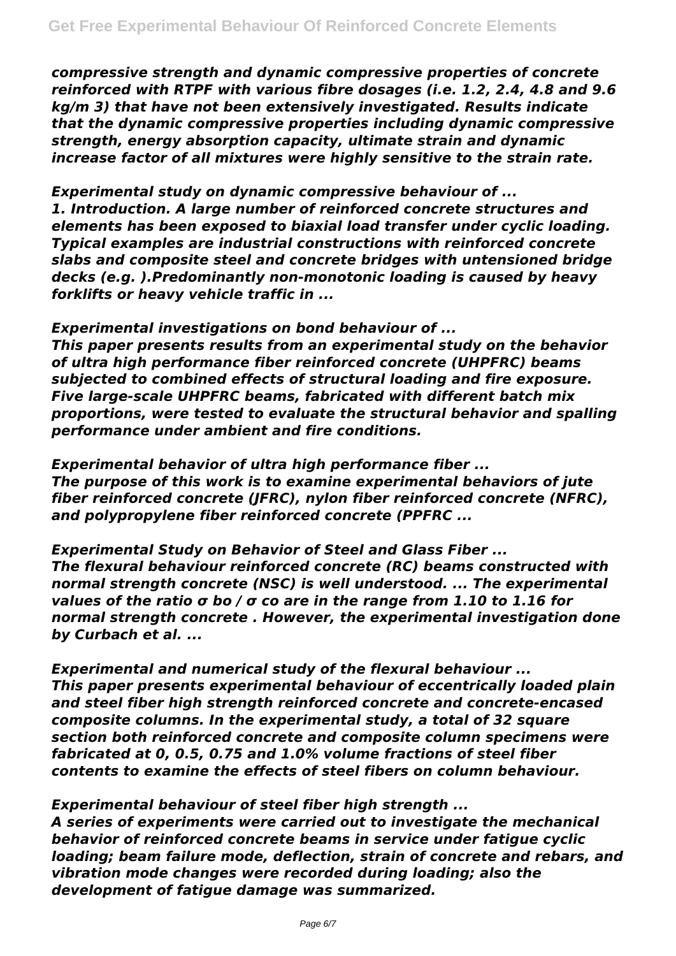*compressive strength and dynamic compressive properties of concrete reinforced with RTPF with various fibre dosages (i.e. 1.2, 2.4, 4.8 and 9.6 kg/m 3) that have not been extensively investigated. Results indicate that the dynamic compressive properties including dynamic compressive strength, energy absorption capacity, ultimate strain and dynamic increase factor of all mixtures were highly sensitive to the strain rate.*

*Experimental study on dynamic compressive behaviour of ... 1. Introduction. A large number of reinforced concrete structures and elements has been exposed to biaxial load transfer under cyclic loading. Typical examples are industrial constructions with reinforced concrete slabs and composite steel and concrete bridges with untensioned bridge decks (e.g. ).Predominantly non-monotonic loading is caused by heavy forklifts or heavy vehicle traffic in ...*

*Experimental investigations on bond behaviour of ... This paper presents results from an experimental study on the behavior of ultra high performance fiber reinforced concrete (UHPFRC) beams subjected to combined effects of structural loading and fire exposure. Five large-scale UHPFRC beams, fabricated with different batch mix proportions, were tested to evaluate the structural behavior and spalling performance under ambient and fire conditions.*

*Experimental behavior of ultra high performance fiber ... The purpose of this work is to examine experimental behaviors of jute fiber reinforced concrete (JFRC), nylon fiber reinforced concrete (NFRC), and polypropylene fiber reinforced concrete (PPFRC ...*

*Experimental Study on Behavior of Steel and Glass Fiber ... The flexural behaviour reinforced concrete (RC) beams constructed with normal strength concrete (NSC) is well understood. ... The experimental values of the ratio σ bo / σ co are in the range from 1.10 to 1.16 for normal strength concrete . However, the experimental investigation done by Curbach et al. ...*

*Experimental and numerical study of the flexural behaviour ... This paper presents experimental behaviour of eccentrically loaded plain and steel fiber high strength reinforced concrete and concrete-encased composite columns. In the experimental study, a total of 32 square section both reinforced concrete and composite column specimens were fabricated at 0, 0.5, 0.75 and 1.0% volume fractions of steel fiber contents to examine the effects of steel fibers on column behaviour.*

*Experimental behaviour of steel fiber high strength ...*

*A series of experiments were carried out to investigate the mechanical behavior of reinforced concrete beams in service under fatigue cyclic loading; beam failure mode, deflection, strain of concrete and rebars, and vibration mode changes were recorded during loading; also the development of fatigue damage was summarized.*